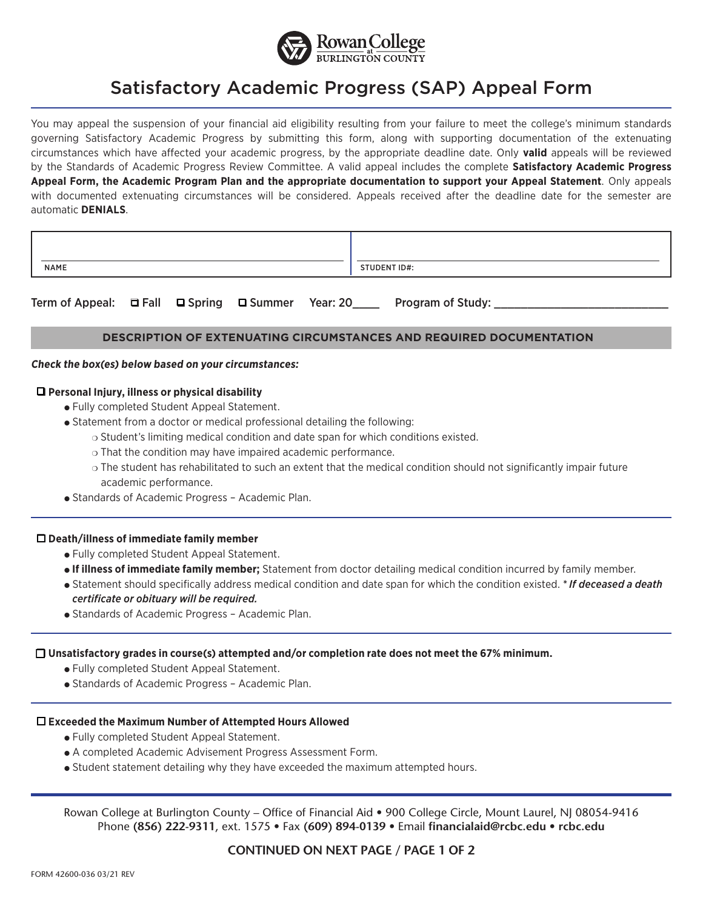

# Satisfactory Academic Progress (SAP) Appeal Form

You may appeal the suspension of your financial aid eligibility resulting from your failure to meet the college's minimum standards governing Satisfactory Academic Progress by submitting this form, along with supporting documentation of the extenuating circumstances which have affected your academic progress, by the appropriate deadline date. Only **valid** appeals will be reviewed by the Standards of Academic Progress Review Committee. A valid appeal includes the complete **Satisfactory Academic Progress Appeal Form, the Academic Program Plan and the appropriate documentation to support your Appeal Statement**. Only appeals with documented extenuating circumstances will be considered. Appeals received after the deadline date for the semester are automatic **DENIALS**.

| NAME | STUDENT ID#: |
|------|--------------|

Term of Appeal: □ Fall □ Spring □ Summer Year: 20\_\_\_\_ Program of Study: \_\_\_\_\_\_\_\_\_

## **DESCRIPTION OF EXTENUATING CIRCUMSTANCES AND REQUIRED DOCUMENTATION**

#### **Check the box(es) below based on your circumstances:**

## q **Personal Injury, illness or physical disability**

- Fully completed Student Appeal Statement.
- Statement from a doctor or medical professional detailing the following:
	- $\circ$  Student's limiting medical condition and date span for which conditions existed.
	- $\circ$  That the condition may have impaired academic performance.
	- o The student has rehabilitated to such an extent that the medical condition should not significantly impair future academic performance.
- **.** Standards of Academic Progress Academic Plan.

#### q **Death/illness of immediate family member**

- Fully completed Student Appeal Statement.
- <sup>l</sup> **If illness of immediate family member;** Statement from doctor detailing medical condition incurred by family member.
- <sup>l</sup> Statement should specifically address medical condition and date span for which the condition existed. *\* If deceased a death certificate or obituary will be required.*
- Standards of Academic Progress Academic Plan.

# q **Unsatisfactory grades in course(s) attempted and/or completion rate does not meet the 67% minimum.**

- Fully completed Student Appeal Statement.
- Standards of Academic Progress Academic Plan.

# q **Exceeded the Maximum Number of Attempted Hours Allowed**

- **.** Fully completed Student Appeal Statement.
- A completed Academic Advisement Progress Assessment Form.
- Student statement detailing why they have exceeded the maximum attempted hours.

Rowan College at Burlington County – Office of Financial Aid • 900 College Circle, Mount Laurel, NJ 08054-9416 Phone **(856) 222-9311**, ext. 1575 • Fax **(609) 894-0139** • Email **financialaid@rcbc.edu • rcbc.edu**